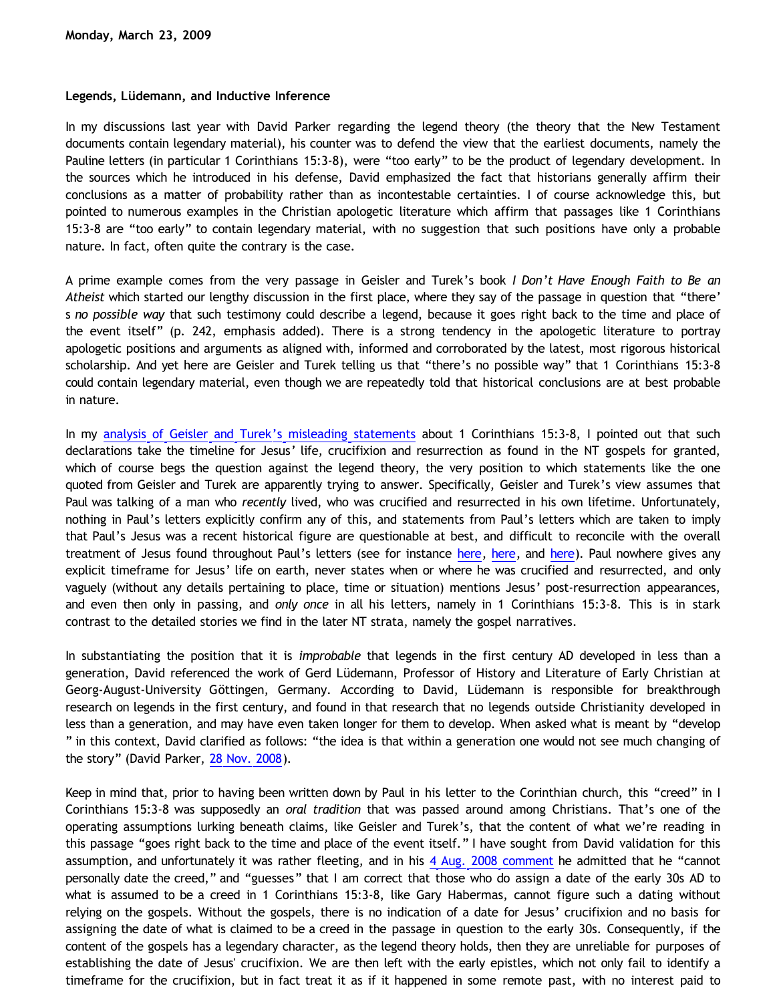### **Legends, Lüdemann, and Inductive Inference**

In my discussions last year with David Parker regarding the legend theory (the theory that the New Testament documents contain legendary material), his counter was to defend the view that the earliest documents, namely the Pauline letters (in particular 1 Corinthians 15:3-8), were "too early" to be the product of legendary development. In the sources which he introduced in his defense, David emphasized the fact that historians generally affirm their conclusions as a matter of probability rather than as incontestable certainties. I of course acknowledge this, but pointed to numerous examples in the Christian apologetic literature which affirm that passages like 1 Corinthians 15:3-8 are "too early" to contain legendary material, with no suggestion that such positions have only a probable nature. In fact, often quite the contrary is the case.

A prime example comes from the very passage in Geisler and Turek's book *I Don't Have Enough Faith to Be an Atheist* which started our lengthy discussion in the first place, where they say of the passage in question that "there' s *no possible way* that such testimony could describe a legend, because it goes right back to the time and place of the event itself" (p. 242, emphasis added). There is a strong tendency in the apologetic literature to portray apologetic positions and arguments as aligned with, informed and corroborated by the latest, most rigorous historical scholarship. And yet here are Geisler and Turek telling us that "there's no possible way" that 1 Corinthians 15:3-8 could contain legendary material, even though we are repeatedly told that historical conclusions are at best probable in nature.

In my [analysis of Geisler and Turek's misleading statements](http://bahnsenburner.blogspot.com/2008/07/is-i-corinthians-153-8-too-early-to-be.html) about 1 Corinthians 15:3-8, I pointed out that such declarations take the timeline for Jesus' life, crucifixion and resurrection as found in the NT gospels for granted, which of course begs the question against the legend theory, the very position to which statements like the one quoted from Geisler and Turek are apparently trying to answer. Specifically, Geisler and Turek's view assumes that Paul was talking of a man who *recently* lived, who was crucified and resurrected in his own lifetime. Unfortunately, nothing in Paul's letters explicitly confirm any of this, and statements from Paul's letters which are taken to imply that Paul's Jesus was a recent historical figure are questionable at best, and difficult to reconcile with the overall treatment of Jesus found throughout Paul's letters (see for instance [here](http://bahnsenburner.blogspot.com/2008/09/pauls-ignorance-of-earthly-jesus-part-1.html), [here](http://bahnsenburner.blogspot.com/2008/09/pauls-ignorance-of-earthly-jesus-part-2.html), and [here](http://bahnsenburner.blogspot.com/2008/09/pauls-ignorance-of-earthly-jesus-part-3.html)). Paul nowhere gives any explicit timeframe for Jesus' life on earth, never states when or where he was crucified and resurrected, and only vaguely (without any details pertaining to place, time or situation) mentions Jesus' post-resurrection appearances, and even then only in passing, and *only once* in all his letters, namely in 1 Corinthians 15:3-8. This is in stark contrast to the detailed stories we find in the later NT strata, namely the gospel narratives.

In substantiating the position that it is *improbable* that legends in the first century AD developed in less than a generation, David referenced the work of Gerd Lüdemann, Professor of History and Literature of Early Christian at Georg-August-University Göttingen, Germany. According to David, Lüdemann is responsible for breakthrough research on legends in the first century, and found in that research that no legends outside Christianity developed in less than a generation, and may have even taken longer for them to develop. When asked what is meant by "develop " in this context, David clarified as follows: "the idea is that within a generation one would not see much changing of the story" (David Parker, [28 Nov. 2008\)](http://bahnsenburner.blogspot.com/2008/09/another-response-to-david-part-7.html).

Keep in mind that, prior to having been written down by Paul in his letter to the Corinthian church, this "creed" in I Corinthians 15:3-8 was supposedly an *oral tradition* that was passed around among Christians. That's one of the operating assumptions lurking beneath claims, like Geisler and Turek's, that the content of what we're reading in this passage "goes right back to the time and place of the event itself." I have sought from David validation for this assumption, and unfortunately it was rather fleeting, and in his [4 Aug. 2008 comment](http://bahnsenburner.blogspot.com/2008/07/in-response-to-david-on-i-corinthians.html) he admitted that he "cannot personally date the creed," and "guesses" that I am correct that those who do assign a date of the early 30s AD to what is assumed to be a creed in 1 Corinthians 15:3-8, like Gary Habermas, cannot figure such a dating without relying on the gospels. Without the gospels, there is no indication of a date for Jesus' crucifixion and no basis for assigning the date of what is claimed to be a creed in the passage in question to the early 30s. Consequently, if the content of the gospels has a legendary character, as the legend theory holds, then they are unreliable for purposes of establishing the date of Jesus' crucifixion. We are then left with the early epistles, which not only fail to identify a timeframe for the crucifixion, but in fact treat it as if it happened in some remote past, with no interest paid to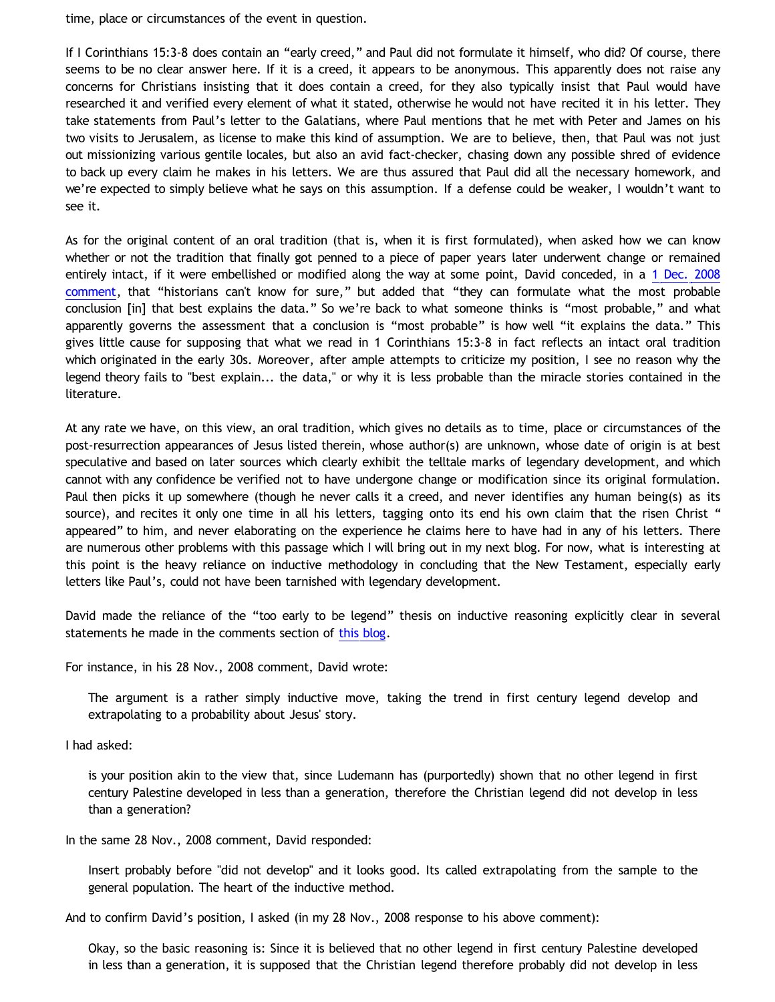time, place or circumstances of the event in question.

If I Corinthians 15:3-8 does contain an "early creed," and Paul did not formulate it himself, who did? Of course, there seems to be no clear answer here. If it is a creed, it appears to be anonymous. This apparently does not raise any concerns for Christians insisting that it does contain a creed, for they also typically insist that Paul would have researched it and verified every element of what it stated, otherwise he would not have recited it in his letter. They take statements from Paul's letter to the Galatians, where Paul mentions that he met with Peter and James on his two visits to Jerusalem, as license to make this kind of assumption. We are to believe, then, that Paul was not just out missionizing various gentile locales, but also an avid fact-checker, chasing down any possible shred of evidence to back up every claim he makes in his letters. We are thus assured that Paul did all the necessary homework, and we're expected to simply believe what he says on this assumption. If a defense could be weaker, I wouldn't want to see it.

As for the original content of an oral tradition (that is, when it is first formulated), when asked how we can know whether or not the tradition that finally got penned to a piece of paper years later underwent change or remained entirely intact, if it were embellished or modified along the way at some point, David conceded, in a [1 Dec. 2008](http://bahnsenburner.blogspot.com/2008/09/another-response-to-david-part-7.html) [comment](http://bahnsenburner.blogspot.com/2008/09/another-response-to-david-part-7.html), that "historians can't know for sure," but added that "they can formulate what the most probable conclusion [in] that best explains the data." So we're back to what someone thinks is "most probable," and what apparently governs the assessment that a conclusion is "most probable" is how well "it explains the data." This gives little cause for supposing that what we read in 1 Corinthians 15:3-8 in fact reflects an intact oral tradition which originated in the early 30s. Moreover, after ample attempts to criticize my position, I see no reason why the legend theory fails to "best explain... the data," or why it is less probable than the miracle stories contained in the literature.

At any rate we have, on this view, an oral tradition, which gives no details as to time, place or circumstances of the post-resurrection appearances of Jesus listed therein, whose author(s) are unknown, whose date of origin is at best speculative and based on later sources which clearly exhibit the telltale marks of legendary development, and which cannot with any confidence be verified not to have undergone change or modification since its original formulation. Paul then picks it up somewhere (though he never calls it a creed, and never identifies any human being(s) as its source), and recites it only one time in all his letters, tagging onto its end his own claim that the risen Christ " appeared" to him, and never elaborating on the experience he claims here to have had in any of his letters. There are numerous other problems with this passage which I will bring out in my next blog. For now, what is interesting at this point is the heavy reliance on inductive methodology in concluding that the New Testament, especially early letters like Paul's, could not have been tarnished with legendary development.

David made the reliance of the "too early to be legend" thesis on inductive reasoning explicitly clear in several statements he made in the comments section of [this blog](http://bahnsenburner.blogspot.com/2008/09/another-response-to-david-part-7.html).

For instance, in his 28 Nov., 2008 comment, David wrote:

The argument is a rather simply inductive move, taking the trend in first century legend develop and extrapolating to a probability about Jesus' story.

I had asked:

is your position akin to the view that, since Ludemann has (purportedly) shown that no other legend in first century Palestine developed in less than a generation, therefore the Christian legend did not develop in less than a generation?

In the same 28 Nov., 2008 comment, David responded:

Insert probably before "did not develop" and it looks good. Its called extrapolating from the sample to the general population. The heart of the inductive method.

And to confirm David's position, I asked (in my 28 Nov., 2008 response to his above comment):

Okay, so the basic reasoning is: Since it is believed that no other legend in first century Palestine developed in less than a generation, it is supposed that the Christian legend therefore probably did not develop in less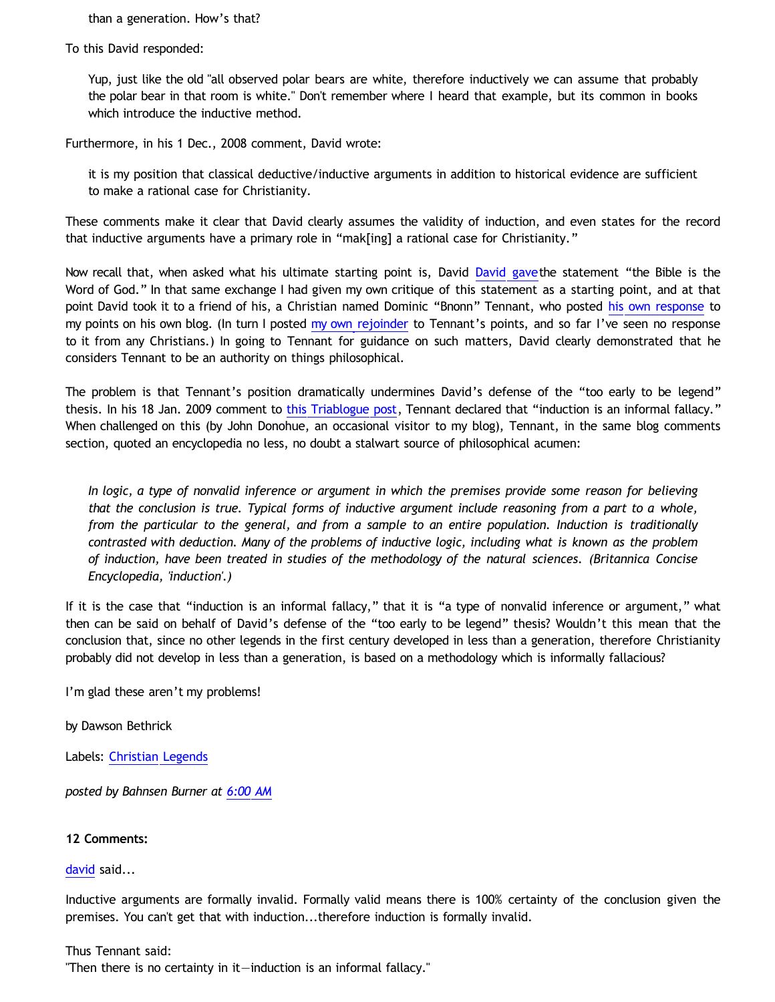than a generation. How's that?

To this David responded:

Yup, just like the old "all observed polar bears are white, therefore inductively we can assume that probably the polar bear in that room is white." Don't remember where I heard that example, but its common in books which introduce the inductive method.

Furthermore, in his 1 Dec., 2008 comment, David wrote:

it is my position that classical deductive/inductive arguments in addition to historical evidence are sufficient to make a rational case for Christianity.

These comments make it clear that David clearly assumes the validity of induction, and even states for the record that inductive arguments have a primary role in "mak[ing] a rational case for Christianity."

Now recall that, when asked what his ultimate starting point is, David [David gave](http://bahnsenburner.blogspot.com/2008/09/another-response-to-david-part-6-signs.html)the statement "the Bible is the Word of God." In that same exchange I had given my own critique of this statement as a starting point, and at that point David took it to a friend of his, a Christian named Dominic "Bnonn" Tennant, who posted [his own response](http://bnonn.thinkingmatters.org.nz/2008/the-chronological-priority-objection-revisited/) to my points on his own blog. (In turn I posted [my own rejoinder](http://bahnsenburner.blogspot.com/2008/10/reply-to-tennant-on-theistic.html) to Tennant's points, and so far I've seen no response to it from any Christians.) In going to Tennant for guidance on such matters, David clearly demonstrated that he considers Tennant to be an authority on things philosophical.

The problem is that Tennant's position dramatically undermines David's defense of the "too early to be legend" thesis. In his 18 Jan. 2009 comment to [this Triablogue post](http://triablogue.blogspot.com/2009/01/a-rand-hack-philosopher.html), Tennant declared that "induction is an informal fallacy." When challenged on this (by John Donohue, an occasional visitor to my blog), Tennant, in the same blog comments section, quoted an encyclopedia no less, no doubt a stalwart source of philosophical acumen:

*In logic, a type of nonvalid inference or argument in which the premises provide some reason for believing that the conclusion is true. Typical forms of inductive argument include reasoning from a part to a whole, from the particular to the general, and from a sample to an entire population. Induction is traditionally contrasted with deduction. Many of the problems of inductive logic, including what is known as the problem of induction, have been treated in studies of the methodology of the natural sciences. (Britannica Concise Encyclopedia, 'induction'.)*

If it is the case that "induction is an informal fallacy," that it is "a type of nonvalid inference or argument," what then can be said on behalf of David's defense of the "too early to be legend" thesis? Wouldn't this mean that the conclusion that, since no other legends in the first century developed in less than a generation, therefore Christianity probably did not develop in less than a generation, is based on a methodology which is informally fallacious?

I'm glad these aren't my problems!

by Dawson Bethrick

Labels: [Christian Legends](http://bahnsenburner.blogspot.com/search/label/Christian%20Legends)

*posted by Bahnsen Burner at [6:00 AM](http://bahnsenburner.blogspot.com/2009/03/legends-ludemann-and-inductive.html)*

**12 Comments:**

[david](http://www.blogger.com/profile/13714637134009580948) said...

Inductive arguments are formally invalid. Formally valid means there is 100% certainty of the conclusion given the premises. You can't get that with induction...therefore induction is formally invalid.

Thus Tennant said:

"Then there is no certainty in it—induction is an informal fallacy."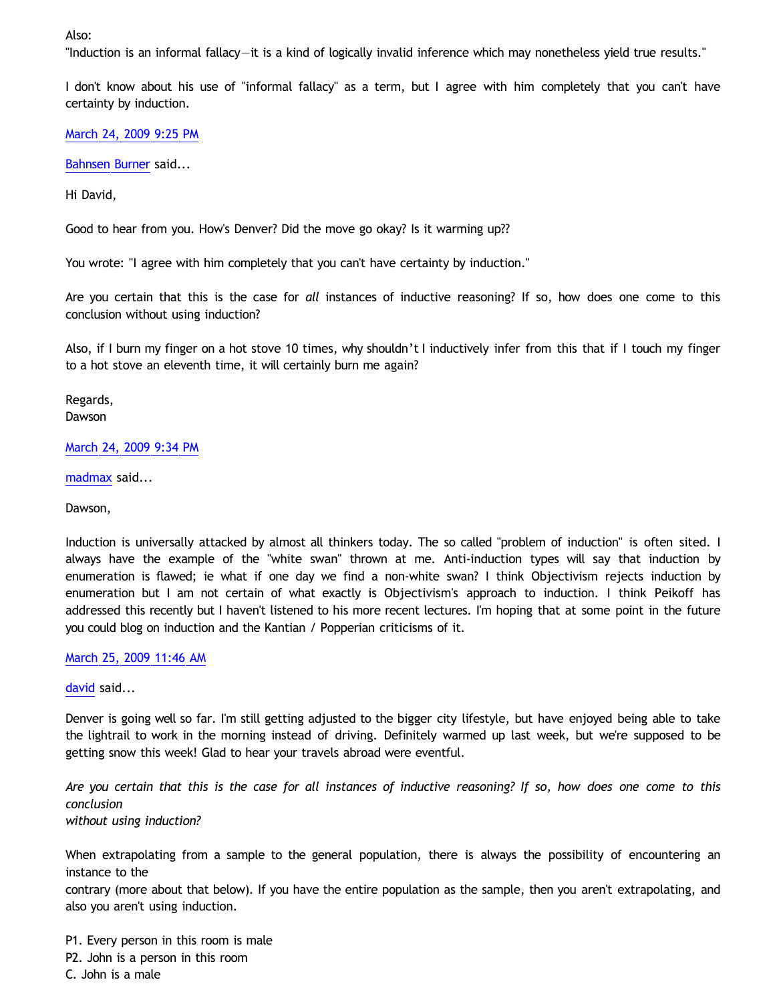Also:

"Induction is an informal fallacy—it is a kind of logically invalid inference which may nonetheless yield true results."

I don't know about his use of "informal fallacy" as a term, but I agree with him completely that you can't have certainty by induction.

[March 24, 2009 9:25 PM](http://bahnsenburner.blogspot.com/2009/03/7512669072814330662)

[Bahnsen Burner](http://www.blogger.com/profile/11030029491768748360) said...

Hi David,

Good to hear from you. How's Denver? Did the move go okay? Is it warming up??

You wrote: "I agree with him completely that you can't have certainty by induction."

Are you certain that this is the case for *all* instances of inductive reasoning? If so, how does one come to this conclusion without using induction?

Also, if I burn my finger on a hot stove 10 times, why shouldn't I inductively infer from this that if I touch my finger to a hot stove an eleventh time, it will certainly burn me again?

Regards, Dawson

[March 24, 2009 9:34 PM](http://bahnsenburner.blogspot.com/2009/03/7999483583395289107)

[madmax](http://www.blogger.com/profile/14375140131881725965) said...

Dawson,

Induction is universally attacked by almost all thinkers today. The so called "problem of induction" is often sited. I always have the example of the "white swan" thrown at me. Anti-induction types will say that induction by enumeration is flawed; ie what if one day we find a non-white swan? I think Objectivism rejects induction by enumeration but I am not certain of what exactly is Objectivism's approach to induction. I think Peikoff has addressed this recently but I haven't listened to his more recent lectures. I'm hoping that at some point in the future you could blog on induction and the Kantian / Popperian criticisms of it.

## [March 25, 2009 11:46 AM](http://bahnsenburner.blogspot.com/2009/03/4835036704597264604)

[david](http://www.blogger.com/profile/13714637134009580948) said...

Denver is going well so far. I'm still getting adjusted to the bigger city lifestyle, but have enjoyed being able to take the lightrail to work in the morning instead of driving. Definitely warmed up last week, but we're supposed to be getting snow this week! Glad to hear your travels abroad were eventful.

*Are you certain that this is the case for all instances of inductive reasoning? If so, how does one come to this conclusion*

*without using induction?*

When extrapolating from a sample to the general population, there is always the possibility of encountering an instance to the

contrary (more about that below). If you have the entire population as the sample, then you aren't extrapolating, and also you aren't using induction.

P1. Every person in this room is male P2. John is a person in this room C. John is a male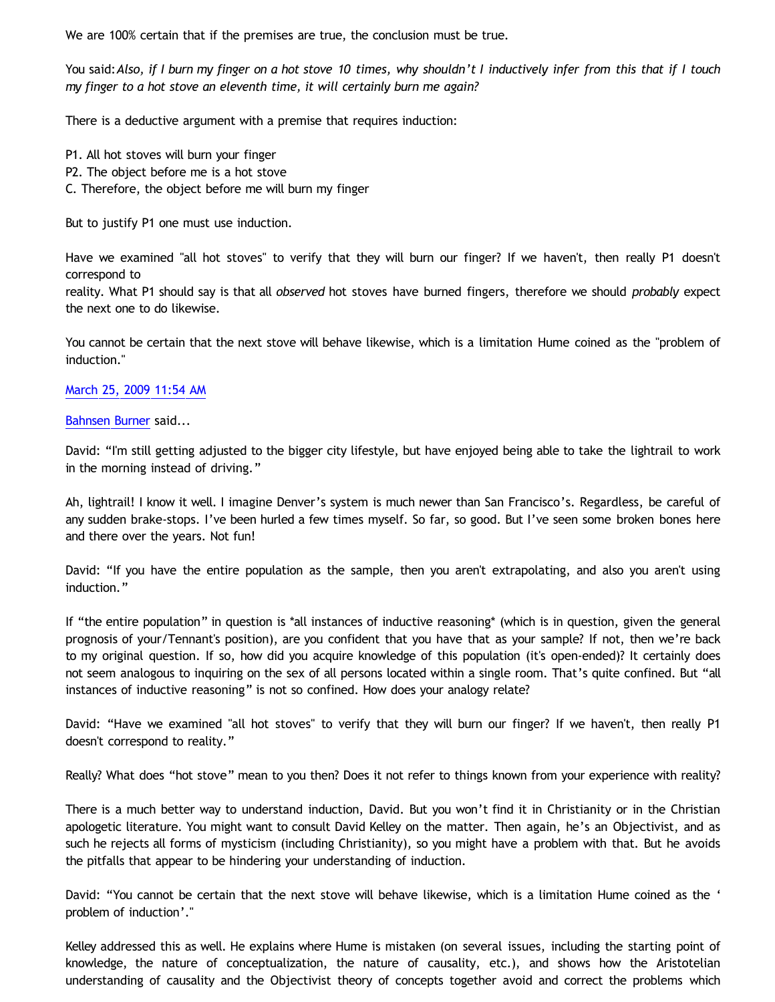We are 100% certain that if the premises are true, the conclusion must be true.

You said:*Also, if I burn my finger on a hot stove 10 times, why shouldn't I inductively infer from this that if I touch my finger to a hot stove an eleventh time, it will certainly burn me again?*

There is a deductive argument with a premise that requires induction:

- P1. All hot stoves will burn your finger
- P2. The object before me is a hot stove
- C. Therefore, the object before me will burn my finger

But to justify P1 one must use induction.

Have we examined "all hot stoves" to verify that they will burn our finger? If we haven't, then really P1 doesn't correspond to

reality. What P1 should say is that all *observed* hot stoves have burned fingers, therefore we should *probably* expect the next one to do likewise.

You cannot be certain that the next stove will behave likewise, which is a limitation Hume coined as the "problem of induction."

# [March 25, 2009 11:54 AM](http://bahnsenburner.blogspot.com/2009/03/5093293255298123416)

[Bahnsen Burner](http://www.blogger.com/profile/11030029491768748360) said...

David: "I'm still getting adjusted to the bigger city lifestyle, but have enjoyed being able to take the lightrail to work in the morning instead of driving."

Ah, lightrail! I know it well. I imagine Denver's system is much newer than San Francisco's. Regardless, be careful of any sudden brake-stops. I've been hurled a few times myself. So far, so good. But I've seen some broken bones here and there over the years. Not fun!

David: "If you have the entire population as the sample, then you aren't extrapolating, and also you aren't using induction."

If "the entire population" in question is \*all instances of inductive reasoning\* (which is in question, given the general prognosis of your/Tennant's position), are you confident that you have that as your sample? If not, then we're back to my original question. If so, how did you acquire knowledge of this population (it's open-ended)? It certainly does not seem analogous to inquiring on the sex of all persons located within a single room. That's quite confined. But "all instances of inductive reasoning" is not so confined. How does your analogy relate?

David: "Have we examined "all hot stoves" to verify that they will burn our finger? If we haven't, then really P1 doesn't correspond to reality."

Really? What does "hot stove" mean to you then? Does it not refer to things known from your experience with reality?

There is a much better way to understand induction, David. But you won't find it in Christianity or in the Christian apologetic literature. You might want to consult David Kelley on the matter. Then again, he's an Objectivist, and as such he rejects all forms of mysticism (including Christianity), so you might have a problem with that. But he avoids the pitfalls that appear to be hindering your understanding of induction.

David: "You cannot be certain that the next stove will behave likewise, which is a limitation Hume coined as the ' problem of induction'."

Kelley addressed this as well. He explains where Hume is mistaken (on several issues, including the starting point of knowledge, the nature of conceptualization, the nature of causality, etc.), and shows how the Aristotelian understanding of causality and the Objectivist theory of concepts together avoid and correct the problems which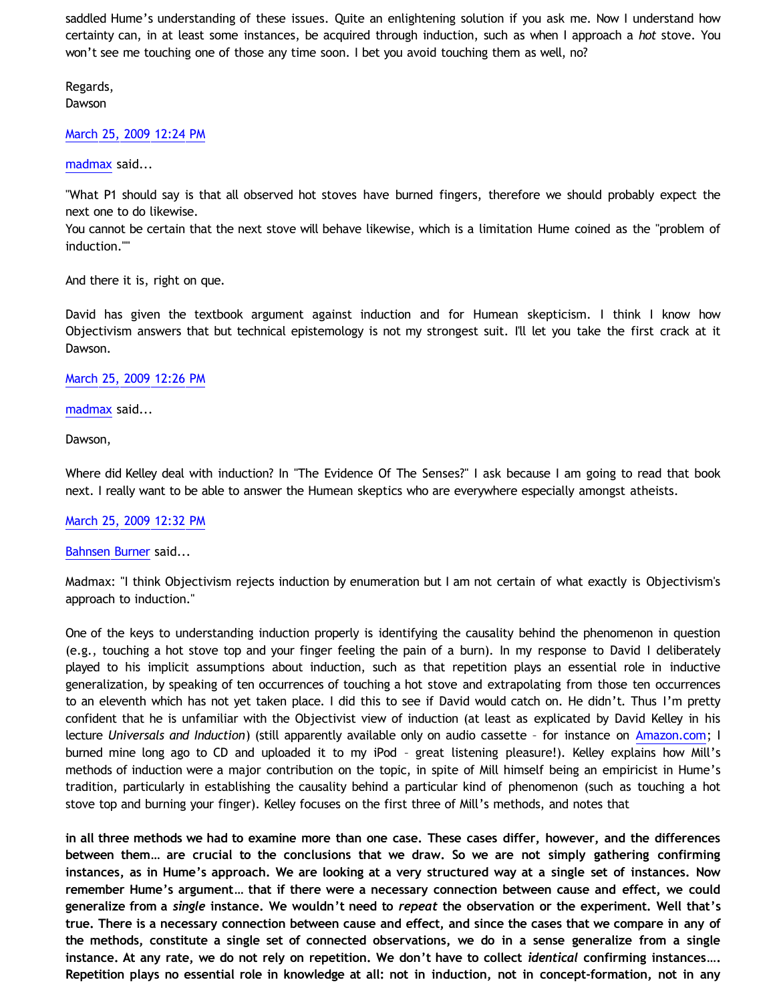saddled Hume's understanding of these issues. Quite an enlightening solution if you ask me. Now I understand how certainty can, in at least some instances, be acquired through induction, such as when I approach a *hot* stove. You won't see me touching one of those any time soon. I bet you avoid touching them as well, no?

Regards, Dawson

# [March 25, 2009 12:24 PM](http://bahnsenburner.blogspot.com/2009/03/277986783744331137)

### [madmax](http://www.blogger.com/profile/14375140131881725965) said...

"What P1 should say is that all observed hot stoves have burned fingers, therefore we should probably expect the next one to do likewise.

You cannot be certain that the next stove will behave likewise, which is a limitation Hume coined as the "problem of induction.""

And there it is, right on que.

David has given the textbook argument against induction and for Humean skepticism. I think I know how Objectivism answers that but technical epistemology is not my strongest suit. I'll let you take the first crack at it Dawson.

## [March 25, 2009 12:26 PM](http://bahnsenburner.blogspot.com/2009/03/342045040941829906)

[madmax](http://www.blogger.com/profile/14375140131881725965) said...

Dawson,

Where did Kelley deal with induction? In "The Evidence Of The Senses?" I ask because I am going to read that book next. I really want to be able to answer the Humean skeptics who are everywhere especially amongst atheists.

## [March 25, 2009 12:32 PM](http://bahnsenburner.blogspot.com/2009/03/5213268843431794981)

### [Bahnsen Burner](http://www.blogger.com/profile/11030029491768748360) said...

Madmax: "I think Objectivism rejects induction by enumeration but I am not certain of what exactly is Objectivism's approach to induction."

One of the keys to understanding induction properly is identifying the causality behind the phenomenon in question (e.g., touching a hot stove top and your finger feeling the pain of a burn). In my response to David I deliberately played to his implicit assumptions about induction, such as that repetition plays an essential role in inductive generalization, by speaking of ten occurrences of touching a hot stove and extrapolating from those ten occurrences to an eleventh which has not yet taken place. I did this to see if David would catch on. He didn't. Thus I'm pretty confident that he is unfamiliar with the Objectivist view of induction (at least as explicated by David Kelley in his lecture *Universals and Induction*) (still apparently available only on audio cassette – for instance on [Amazon.com;](http://www.amazon.com/Foundations-Knowledge-David-Kelley/dp/1577240308) I burned mine long ago to CD and uploaded it to my iPod – great listening pleasure!). Kelley explains how Mill's methods of induction were a major contribution on the topic, in spite of Mill himself being an empiricist in Hume's tradition, particularly in establishing the causality behind a particular kind of phenomenon (such as touching a hot stove top and burning your finger). Kelley focuses on the first three of Mill's methods, and notes that

**in all three methods we had to examine more than one case. These cases differ, however, and the differences between them… are crucial to the conclusions that we draw. So we are not simply gathering confirming instances, as in Hume's approach. We are looking at a very structured way at a single set of instances. Now remember Hume's argument… that if there were a necessary connection between cause and effect, we could generalize from a** *single* **instance. We wouldn't need to** *repeat* **the observation or the experiment. Well that's true. There is a necessary connection between cause and effect, and since the cases that we compare in any of the methods, constitute a single set of connected observations, we do in a sense generalize from a single instance. At any rate, we do not rely on repetition. We don't have to collect** *identical* **confirming instances…. Repetition plays no essential role in knowledge at all: not in induction, not in concept-formation, not in any**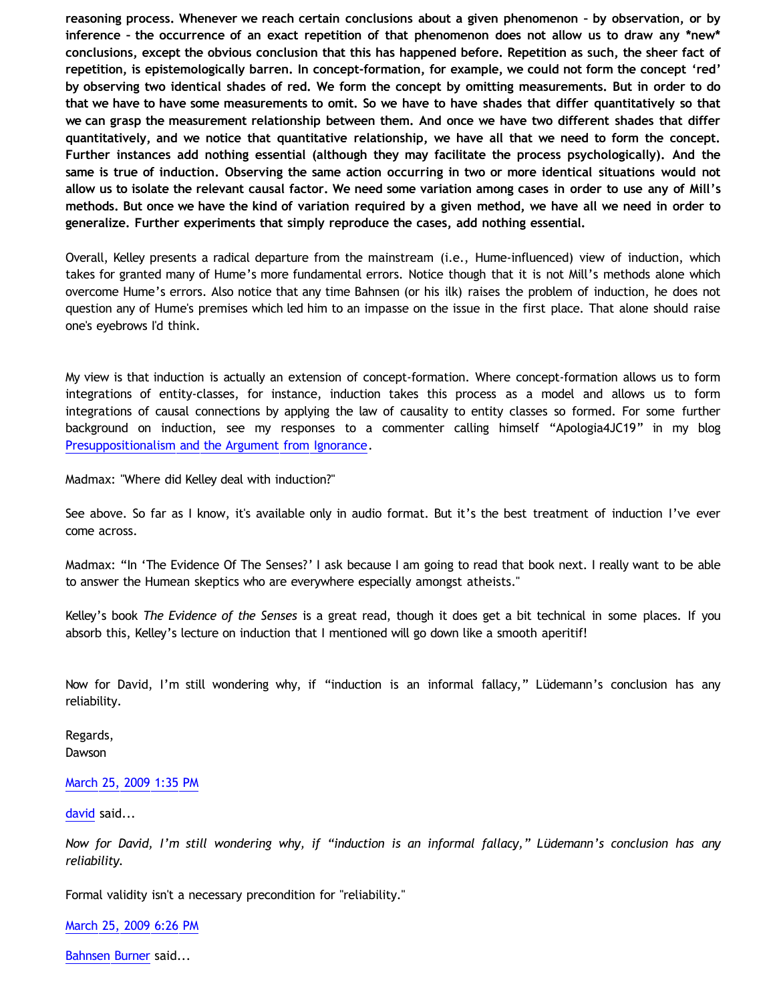**reasoning process. Whenever we reach certain conclusions about a given phenomenon – by observation, or by inference – the occurrence of an exact repetition of that phenomenon does not allow us to draw any \*new\* conclusions, except the obvious conclusion that this has happened before. Repetition as such, the sheer fact of repetition, is epistemologically barren. In concept-formation, for example, we could not form the concept 'red' by observing two identical shades of red. We form the concept by omitting measurements. But in order to do that we have to have some measurements to omit. So we have to have shades that differ quantitatively so that we can grasp the measurement relationship between them. And once we have two different shades that differ quantitatively, and we notice that quantitative relationship, we have all that we need to form the concept. Further instances add nothing essential (although they may facilitate the process psychologically). And the same is true of induction. Observing the same action occurring in two or more identical situations would not allow us to isolate the relevant causal factor. We need some variation among cases in order to use any of Mill's methods. But once we have the kind of variation required by a given method, we have all we need in order to generalize. Further experiments that simply reproduce the cases, add nothing essential.**

Overall, Kelley presents a radical departure from the mainstream (i.e., Hume-influenced) view of induction, which takes for granted many of Hume's more fundamental errors. Notice though that it is not Mill's methods alone which overcome Hume's errors. Also notice that any time Bahnsen (or his ilk) raises the problem of induction, he does not question any of Hume's premises which led him to an impasse on the issue in the first place. That alone should raise one's eyebrows I'd think.

My view is that induction is actually an extension of concept-formation. Where concept-formation allows us to form integrations of entity-classes, for instance, induction takes this process as a model and allows us to form integrations of causal connections by applying the law of causality to entity classes so formed. For some further background on induction, see my responses to a commenter calling himself "Apologia4JC19" in my blog [Presuppositionalism and the Argument from Ignorance](http://bahnsenburner.blogspot.com/2006/02/presuppositionalism-and-argument-from.html).

Madmax: "Where did Kelley deal with induction?"

See above. So far as I know, it's available only in audio format. But it's the best treatment of induction I've ever come across.

Madmax: "In 'The Evidence Of The Senses?' I ask because I am going to read that book next. I really want to be able to answer the Humean skeptics who are everywhere especially amongst atheists."

Kelley's book *The Evidence of the Senses* is a great read, though it does get a bit technical in some places. If you absorb this, Kelley's lecture on induction that I mentioned will go down like a smooth aperitif!

Now for David, I'm still wondering why, if "induction is an informal fallacy," Lüdemann's conclusion has any reliability.

Regards, Dawson

## [March 25, 2009 1:35 PM](http://bahnsenburner.blogspot.com/2009/03/7339998907227924737)

[david](http://www.blogger.com/profile/13714637134009580948) said...

*Now for David, I'm still wondering why, if "induction is an informal fallacy," Lüdemann's conclusion has any reliability.*

Formal validity isn't a necessary precondition for "reliability."

[March 25, 2009 6:26 PM](http://bahnsenburner.blogspot.com/2009/03/2719871884790729604)

[Bahnsen Burner](http://www.blogger.com/profile/11030029491768748360) said...